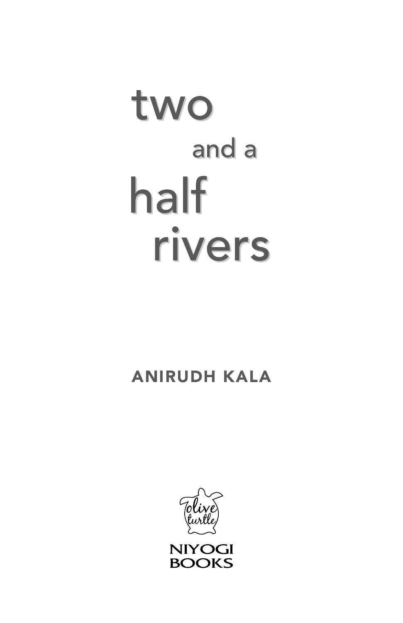# two and a half rivers

# anirudh kala

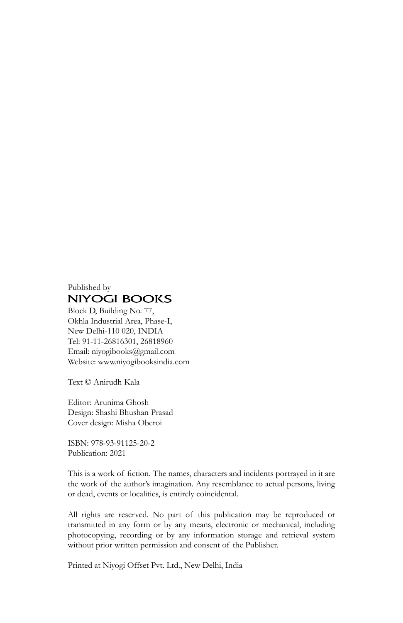#### Published by **NIYOGI BOOKS**

Block D, Building No. 77, Okhla Industrial Area, Phase-I, New Delhi-110 020, INDIA Tel: 91-11-26816301, 26818960 Email: niyogibooks@gmail.com Website: www.niyogibooksindia.com

Text © Anirudh Kala

Editor: Arunima Ghosh Design: Shashi Bhushan Prasad Cover design: Misha Oberoi

ISBN: 978-93-91125-20-2 Publication: 2021

This is a work of fiction. The names, characters and incidents portrayed in it are the work of the author's imagination. Any resemblance to actual persons, living or dead, events or localities, is entirely coincidental.

All rights are reserved. No part of this publication may be reproduced or transmitted in any form or by any means, electronic or mechanical, including photocopying, recording or by any information storage and retrieval system without prior written permission and consent of the Publisher.

Printed at Niyogi Offset Pvt. Ltd., New Delhi, India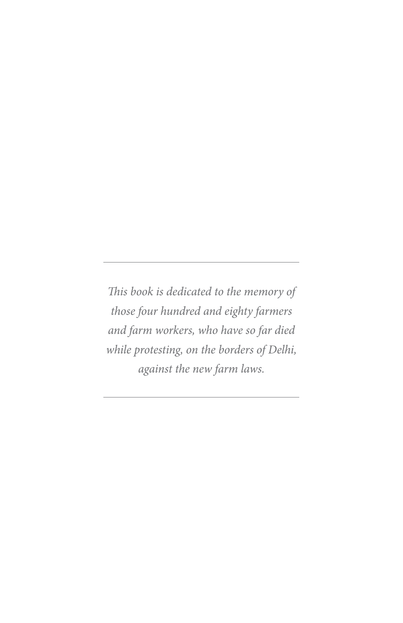*This book is dedicated to the memory of those four hundred and eighty farmers and farm workers, who have so far died while protesting, on the borders of Delhi, against the new farm laws.*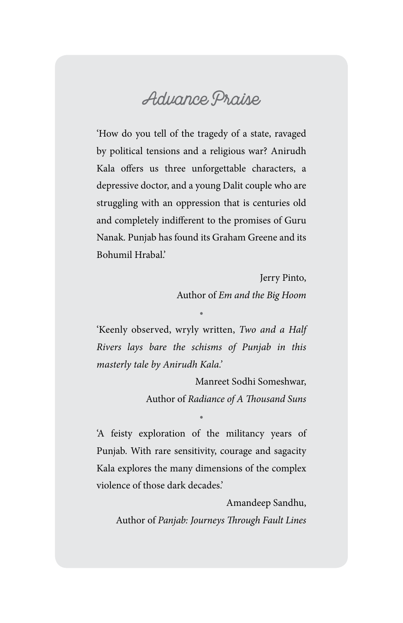### **Advance Praise**

'How do you tell of the tragedy of a state, ravaged by political tensions and a religious war? Anirudh Kala offers us three unforgettable characters, a depressive doctor, and a young Dalit couple who are struggling with an oppression that is centuries old and completely indifferent to the promises of Guru Nanak. Punjab has found its Graham Greene and its Bohumil Hrabal.'

> Jerry Pinto, Author of *Em and the Big Hoom*

'Keenly observed, wryly written, *Two and a Half Rivers lays bare the schisms of Punjab in this masterly tale by Anirudh Kala.'* 

•

Manreet Sodhi Someshwar, Author of *Radiance of A Thousand Suns*

'A feisty exploration of the militancy years of Punjab. With rare sensitivity, courage and sagacity Kala explores the many dimensions of the complex violence of those dark decades.'

•

Amandeep Sandhu, Author of *Panjab: Journeys Through Fault Lines*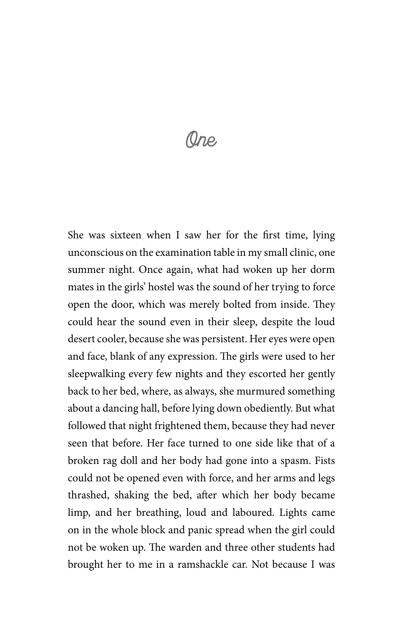## **One**

She was sixteen when I saw her for the first time, lying unconscious on the examination table in my small clinic, one summer night. Once again, what had woken up her dorm mates in the girls' hostel was the sound of her trying to force open the door, which was merely bolted from inside. They could hear the sound even in their sleep, despite the loud desert cooler, because she was persistent. Her eyes were open and face, blank of any expression. The girls were used to her sleepwalking every few nights and they escorted her gently back to her bed, where, as always, she murmured something about a dancing hall, before lying down obediently. But what followed that night frightened them, because they had never seen that before. Her face turned to one side like that of a broken rag doll and her body had gone into a spasm. Fists could not be opened even with force, and her arms and legs thrashed, shaking the bed, after which her body became limp, and her breathing, loud and laboured. Lights came on in the whole block and panic spread when the girl could not be woken up. The warden and three other students had brought her to me in a ramshackle car. Not because I was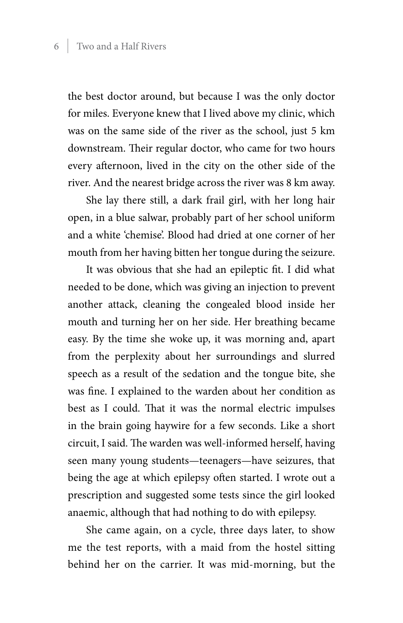the best doctor around, but because I was the only doctor for miles. Everyone knew that I lived above my clinic, which was on the same side of the river as the school, just 5 km downstream. Their regular doctor, who came for two hours every afternoon, lived in the city on the other side of the river. And the nearest bridge across the river was 8 km away.

She lay there still, a dark frail girl, with her long hair open, in a blue salwar, probably part of her school uniform and a white 'chemise'. Blood had dried at one corner of her mouth from her having bitten her tongue during the seizure.

It was obvious that she had an epileptic fit. I did what needed to be done, which was giving an injection to prevent another attack, cleaning the congealed blood inside her mouth and turning her on her side. Her breathing became easy. By the time she woke up, it was morning and, apart from the perplexity about her surroundings and slurred speech as a result of the sedation and the tongue bite, she was fine. I explained to the warden about her condition as best as I could. That it was the normal electric impulses in the brain going haywire for a few seconds. Like a short circuit, I said. The warden was well-informed herself, having seen many young students—teenagers—have seizures, that being the age at which epilepsy often started. I wrote out a prescription and suggested some tests since the girl looked anaemic, although that had nothing to do with epilepsy.

She came again, on a cycle, three days later, to show me the test reports, with a maid from the hostel sitting behind her on the carrier. It was mid-morning, but the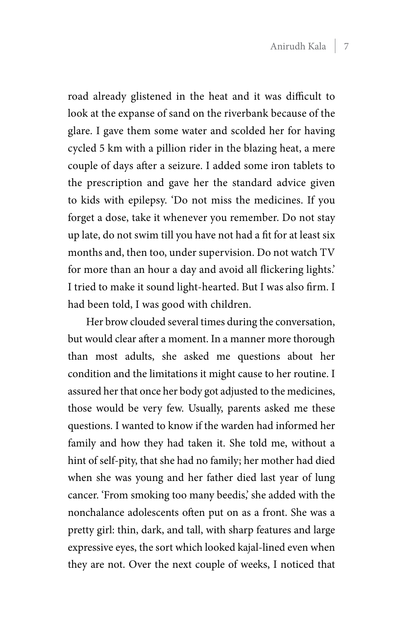road already glistened in the heat and it was difficult to look at the expanse of sand on the riverbank because of the glare. I gave them some water and scolded her for having cycled 5 km with a pillion rider in the blazing heat, a mere couple of days after a seizure. I added some iron tablets to the prescription and gave her the standard advice given to kids with epilepsy. 'Do not miss the medicines. If you forget a dose, take it whenever you remember. Do not stay up late, do not swim till you have not had a fit for at least six months and, then too, under supervision. Do not watch TV for more than an hour a day and avoid all flickering lights.' I tried to make it sound light-hearted. But I was also firm. I had been told, I was good with children.

Her brow clouded several times during the conversation, but would clear after a moment. In a manner more thorough than most adults, she asked me questions about her condition and the limitations it might cause to her routine. I assured her that once her body got adjusted to the medicines, those would be very few. Usually, parents asked me these questions. I wanted to know if the warden had informed her family and how they had taken it. She told me, without a hint of self-pity, that she had no family; her mother had died when she was young and her father died last year of lung cancer. 'From smoking too many beedis,' she added with the nonchalance adolescents often put on as a front. She was a pretty girl: thin, dark, and tall, with sharp features and large expressive eyes, the sort which looked kajal-lined even when they are not. Over the next couple of weeks, I noticed that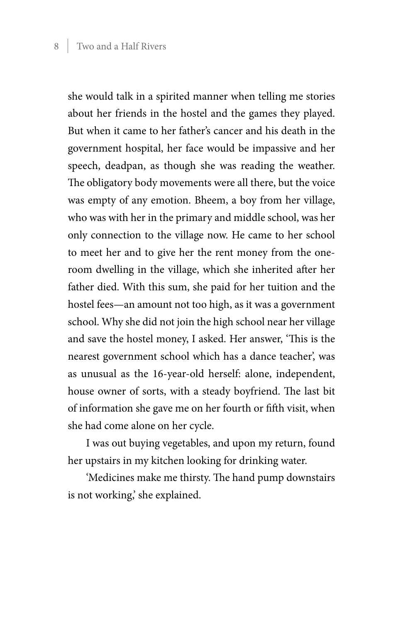she would talk in a spirited manner when telling me stories about her friends in the hostel and the games they played. But when it came to her father's cancer and his death in the government hospital, her face would be impassive and her speech, deadpan, as though she was reading the weather. The obligatory body movements were all there, but the voice was empty of any emotion. Bheem, a boy from her village, who was with her in the primary and middle school, was her only connection to the village now. He came to her school to meet her and to give her the rent money from the oneroom dwelling in the village, which she inherited after her father died. With this sum, she paid for her tuition and the hostel fees—an amount not too high, as it was a government school. Why she did not join the high school near her village and save the hostel money, I asked. Her answer, 'This is the nearest government school which has a dance teacher', was as unusual as the 16-year-old herself: alone, independent, house owner of sorts, with a steady boyfriend. The last bit of information she gave me on her fourth or fifth visit, when she had come alone on her cycle.

I was out buying vegetables, and upon my return, found her upstairs in my kitchen looking for drinking water.

'Medicines make me thirsty. The hand pump downstairs is not working,' she explained.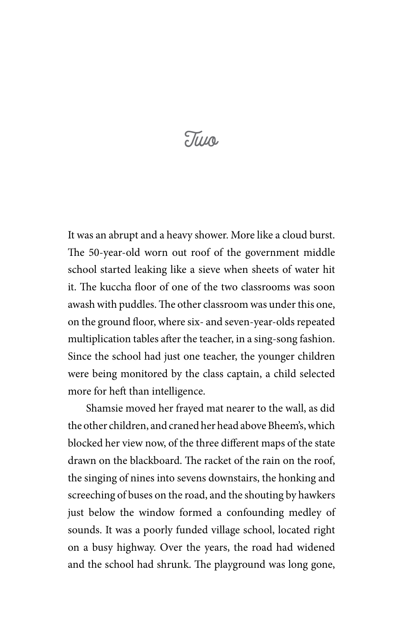# **Two**

It was an abrupt and a heavy shower. More like a cloud burst. The 50-year-old worn out roof of the government middle school started leaking like a sieve when sheets of water hit it. The kuccha floor of one of the two classrooms was soon awash with puddles. The other classroom was under this one, on the ground floor, where six- and seven-year-olds repeated multiplication tables after the teacher, in a sing-song fashion. Since the school had just one teacher, the younger children were being monitored by the class captain, a child selected more for heft than intelligence.

Shamsie moved her frayed mat nearer to the wall, as did the other children, and craned her head above Bheem's, which blocked her view now, of the three different maps of the state drawn on the blackboard. The racket of the rain on the roof, the singing of nines into sevens downstairs, the honking and screeching of buses on the road, and the shouting by hawkers just below the window formed a confounding medley of sounds. It was a poorly funded village school, located right on a busy highway. Over the years, the road had widened and the school had shrunk. The playground was long gone,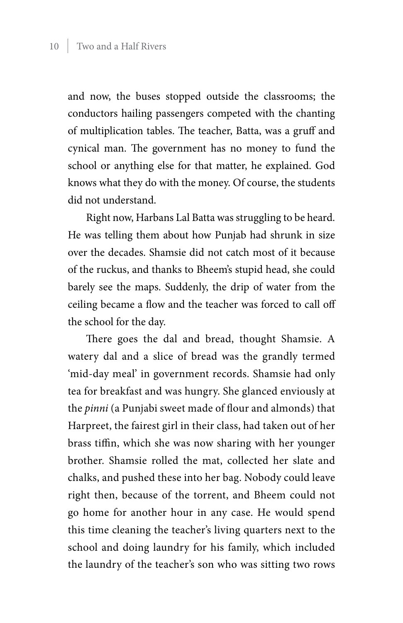and now, the buses stopped outside the classrooms; the conductors hailing passengers competed with the chanting of multiplication tables. The teacher, Batta, was a gruff and cynical man. The government has no money to fund the school or anything else for that matter, he explained. God knows what they do with the money. Of course, the students did not understand.

Right now, Harbans Lal Batta was struggling to be heard. He was telling them about how Punjab had shrunk in size over the decades. Shamsie did not catch most of it because of the ruckus, and thanks to Bheem's stupid head, she could barely see the maps. Suddenly, the drip of water from the ceiling became a flow and the teacher was forced to call off the school for the day.

There goes the dal and bread, thought Shamsie. A watery dal and a slice of bread was the grandly termed 'mid-day meal' in government records. Shamsie had only tea for breakfast and was hungry. She glanced enviously at the *pinni* (a Punjabi sweet made of flour and almonds) that Harpreet, the fairest girl in their class, had taken out of her brass tiffin, which she was now sharing with her younger brother. Shamsie rolled the mat, collected her slate and chalks, and pushed these into her bag. Nobody could leave right then, because of the torrent, and Bheem could not go home for another hour in any case. He would spend this time cleaning the teacher's living quarters next to the school and doing laundry for his family, which included the laundry of the teacher's son who was sitting two rows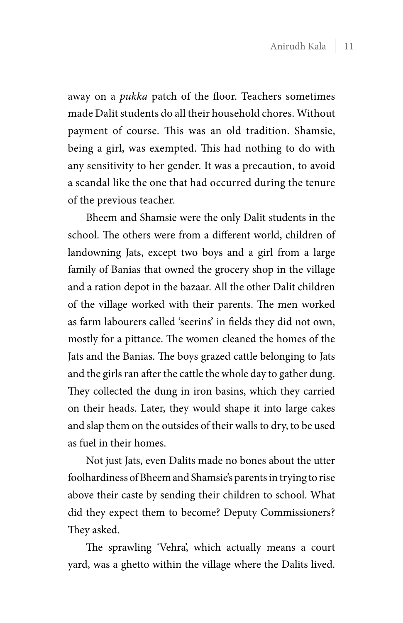away on a *pukka* patch of the floor. Teachers sometimes made Dalit students do all their household chores. Without payment of course. This was an old tradition. Shamsie, being a girl, was exempted. This had nothing to do with any sensitivity to her gender. It was a precaution, to avoid a scandal like the one that had occurred during the tenure of the previous teacher.

Bheem and Shamsie were the only Dalit students in the school. The others were from a different world, children of landowning Jats, except two boys and a girl from a large family of Banias that owned the grocery shop in the village and a ration depot in the bazaar. All the other Dalit children of the village worked with their parents. The men worked as farm labourers called 'seerins' in fields they did not own, mostly for a pittance. The women cleaned the homes of the Jats and the Banias. The boys grazed cattle belonging to Jats and the girls ran after the cattle the whole day to gather dung. They collected the dung in iron basins, which they carried on their heads. Later, they would shape it into large cakes and slap them on the outsides of their walls to dry, to be used as fuel in their homes.

Not just Jats, even Dalits made no bones about the utter foolhardiness of Bheem and Shamsie's parents in trying to rise above their caste by sending their children to school. What did they expect them to become? Deputy Commissioners? They asked.

The sprawling 'Vehra', which actually means a court yard, was a ghetto within the village where the Dalits lived.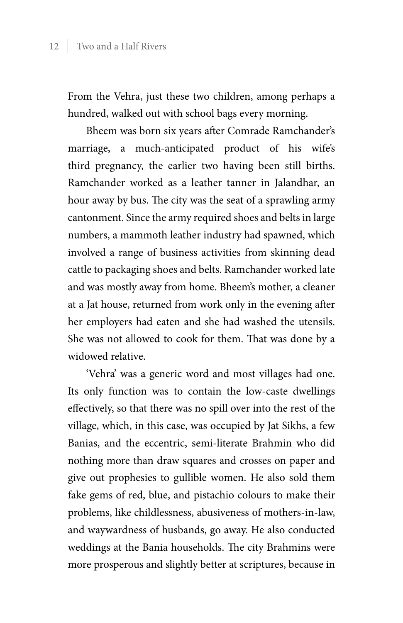From the Vehra, just these two children, among perhaps a hundred, walked out with school bags every morning.

Bheem was born six years after Comrade Ramchander's marriage, a much-anticipated product of his wife's third pregnancy, the earlier two having been still births. Ramchander worked as a leather tanner in Jalandhar, an hour away by bus. The city was the seat of a sprawling army cantonment. Since the army required shoes and belts in large numbers, a mammoth leather industry had spawned, which involved a range of business activities from skinning dead cattle to packaging shoes and belts. Ramchander worked late and was mostly away from home. Bheem's mother, a cleaner at a Jat house, returned from work only in the evening after her employers had eaten and she had washed the utensils. She was not allowed to cook for them. That was done by a widowed relative.

'Vehra' was a generic word and most villages had one. Its only function was to contain the low-caste dwellings effectively, so that there was no spill over into the rest of the village, which, in this case, was occupied by Jat Sikhs, a few Banias, and the eccentric, semi-literate Brahmin who did nothing more than draw squares and crosses on paper and give out prophesies to gullible women. He also sold them fake gems of red, blue, and pistachio colours to make their problems, like childlessness, abusiveness of mothers-in-law, and waywardness of husbands, go away. He also conducted weddings at the Bania households. The city Brahmins were more prosperous and slightly better at scriptures, because in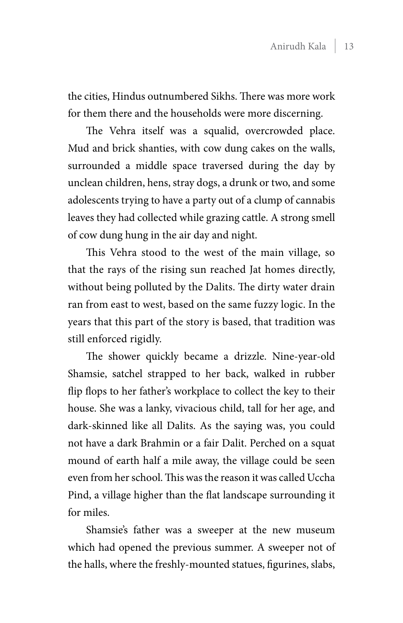the cities, Hindus outnumbered Sikhs. There was more work for them there and the households were more discerning.

The Vehra itself was a squalid, overcrowded place. Mud and brick shanties, with cow dung cakes on the walls, surrounded a middle space traversed during the day by unclean children, hens, stray dogs, a drunk or two, and some adolescents trying to have a party out of a clump of cannabis leaves they had collected while grazing cattle. A strong smell of cow dung hung in the air day and night.

This Vehra stood to the west of the main village, so that the rays of the rising sun reached Jat homes directly, without being polluted by the Dalits. The dirty water drain ran from east to west, based on the same fuzzy logic. In the years that this part of the story is based, that tradition was still enforced rigidly.

The shower quickly became a drizzle. Nine-year-old Shamsie, satchel strapped to her back, walked in rubber flip flops to her father's workplace to collect the key to their house. She was a lanky, vivacious child, tall for her age, and dark-skinned like all Dalits. As the saying was, you could not have a dark Brahmin or a fair Dalit. Perched on a squat mound of earth half a mile away, the village could be seen even from her school. This was the reason it was called Uccha Pind, a village higher than the flat landscape surrounding it for miles.

Shamsie's father was a sweeper at the new museum which had opened the previous summer. A sweeper not of the halls, where the freshly-mounted statues, figurines, slabs,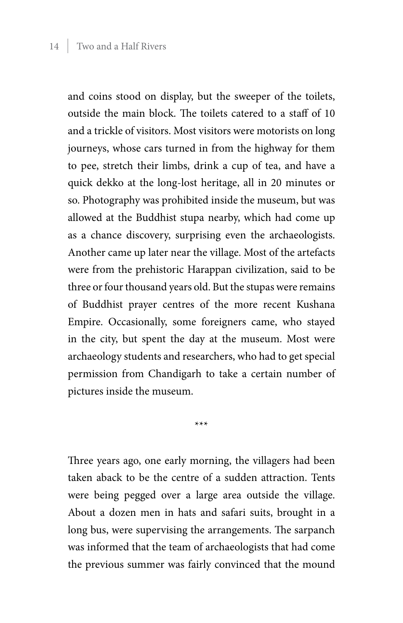and coins stood on display, but the sweeper of the toilets, outside the main block. The toilets catered to a staff of 10 and a trickle of visitors. Most visitors were motorists on long journeys, whose cars turned in from the highway for them to pee, stretch their limbs, drink a cup of tea, and have a quick dekko at the long-lost heritage, all in 20 minutes or so. Photography was prohibited inside the museum, but was allowed at the Buddhist stupa nearby, which had come up as a chance discovery, surprising even the archaeologists. Another came up later near the village. Most of the artefacts were from the prehistoric Harappan civilization, said to be three or four thousand years old. But the stupas were remains of Buddhist prayer centres of the more recent Kushana Empire. Occasionally, some foreigners came, who stayed in the city, but spent the day at the museum. Most were archaeology students and researchers, who had to get special permission from Chandigarh to take a certain number of pictures inside the museum.

\*\*\*

Three years ago, one early morning, the villagers had been taken aback to be the centre of a sudden attraction. Tents were being pegged over a large area outside the village. About a dozen men in hats and safari suits, brought in a long bus, were supervising the arrangements. The sarpanch was informed that the team of archaeologists that had come the previous summer was fairly convinced that the mound